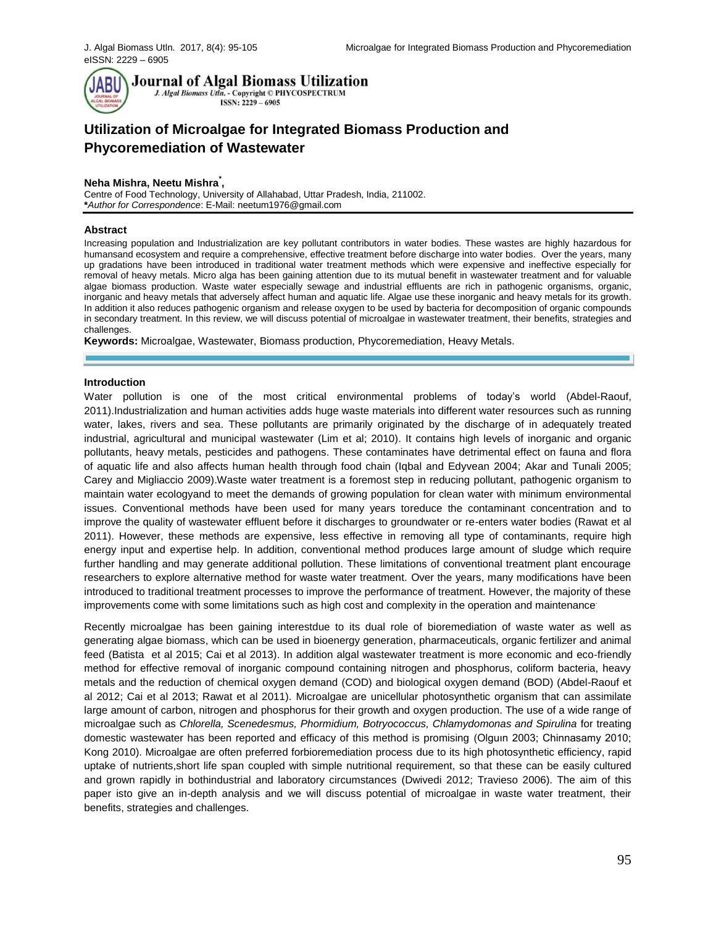

**Journal of Algal Biomass Utilization** 

J. Algal Biomass Utln. - Copyright © PHYCOSPECTRUM ISSN: 2229 - 6905

# **Utilization of Microalgae for Integrated Biomass Production and Phycoremediation of Wastewater**

## **Neha Mishra, Neetu Mishra\* ,**

Centre of Food Technology, University of Allahabad, Uttar Pradesh, India, 211002. **\****Author for Correspondence*: E-Mail: [neetum1976@gmail.com](mailto:neetum1976@gmail.com)

#### **Abstract**

Increasing population and Industrialization are key pollutant contributors in water bodies. These wastes are highly hazardous for humansand ecosystem and require a comprehensive, effective treatment before discharge into water bodies. Over the years, many up gradations have been introduced in traditional water treatment methods which were expensive and ineffective especially for removal of heavy metals. Micro alga has been gaining attention due to its mutual benefit in wastewater treatment and for valuable algae biomass production. Waste water especially sewage and industrial effluents are rich in pathogenic organisms, organic, inorganic and heavy metals that adversely affect human and aquatic life. Algae use these inorganic and heavy metals for its growth. In addition it also reduces pathogenic organism and release oxygen to be used by bacteria for decomposition of organic compounds in secondary treatment. In this review, we will discuss potential of microalgae in wastewater treatment, their benefits, strategies and challenges.

**Keywords:** Microalgae, Wastewater, Biomass production, Phycoremediation, Heavy Metals.

#### **Introduction**

Water pollution is one of the most critical environmental problems of today's world (Abdel-Raouf, 2011).Industrialization and human activities adds huge waste materials into different water resources such as running water, lakes, rivers and sea. These pollutants are primarily originated by the discharge of in adequately treated industrial, agricultural and municipal wastewater (Lim et al; 2010). It contains high levels of inorganic and organic pollutants, heavy metals, pesticides and pathogens. These contaminates have detrimental effect on fauna and flora of aquatic life and also affects human health through food chain (Iqbal and Edyvean 2004; Akar and Tunali 2005; Carey and Migliaccio 2009).Waste water treatment is a foremost step in reducing pollutant, pathogenic organism to maintain water ecologyand to meet the demands of growing population for clean water with minimum environmental issues. Conventional methods have been used for many years toreduce the contaminant concentration and to improve the quality of wastewater effluent before it discharges to groundwater or re-enters water bodies (Rawat et al 2011). However, these methods are expensive, less effective in removing all type of contaminants, require high energy input and expertise help. In addition, conventional method produces large amount of sludge which require further handling and may generate additional pollution. These limitations of conventional treatment plant encourage researchers to explore alternative method for waste water treatment. Over the years, many modifications have been introduced to traditional treatment processes to improve the performance of treatment. However, the majority of these improvements come with some limitations such as high cost and complexity in the operation and maintenance.

Recently microalgae has been gaining interestdue to its dual role of bioremediation of waste water as well as generating algae biomass, which can be used in bioenergy generation, pharmaceuticals, organic fertilizer and animal feed (Batista et al 2015; Cai et al 2013). In addition algal wastewater treatment is more economic and eco-friendly method for effective removal of inorganic compound containing nitrogen and phosphorus, coliform bacteria, heavy metals and the reduction of chemical oxygen demand (COD) and biological oxygen demand (BOD) (Abdel-Raouf et al 2012; Cai et al 2013; Rawat et al 2011). Microalgae are unicellular photosynthetic organism that can assimilate large amount of carbon, nitrogen and phosphorus for their growth and oxygen production. The use of a wide range of microalgae such as *Chlorella, Scenedesmus, Phormidium, Botryococcus, Chlamydomonas and Spirulina* for treating domestic wastewater has been reported and efficacy of this method is promising (Olguın 2003; Chinnasamy 2010; Kong 2010). Microalgae are often preferred forbioremediation process due to its high photosynthetic efficiency, rapid uptake of nutrients,short life span coupled with simple nutritional requirement, so that these can be easily cultured and grown rapidly in bothindustrial and laboratory circumstances (Dwivedi 2012; Travieso 2006). The aim of this paper isto give an in-depth analysis and we will discuss potential of microalgae in waste water treatment, their benefits, strategies and challenges.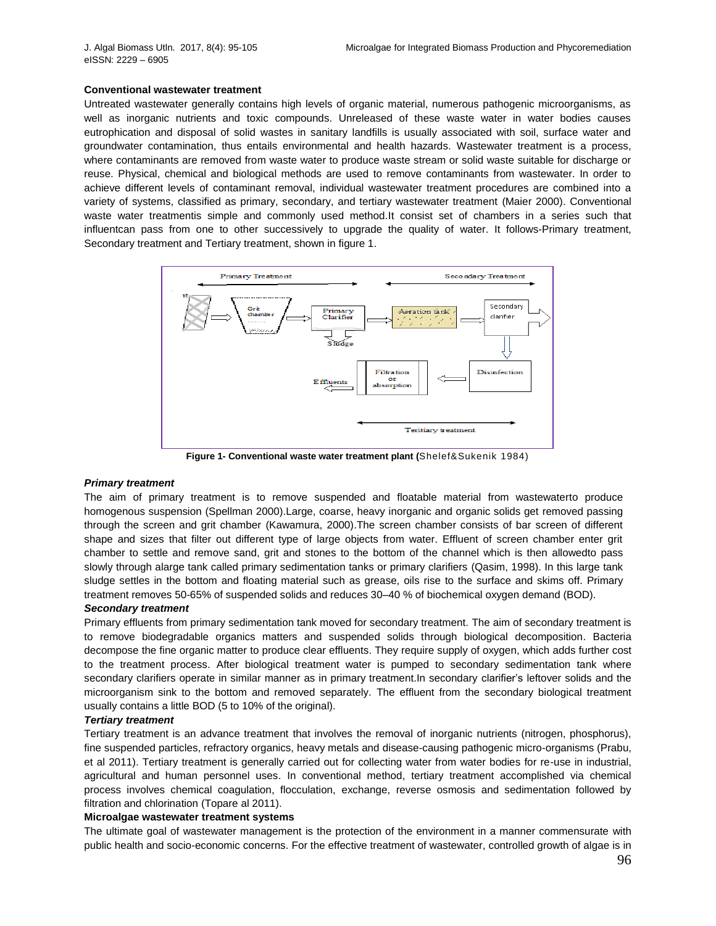#### **Conventional wastewater treatment**

Untreated wastewater generally contains high levels of organic material, numerous pathogenic microorganisms, as well as inorganic nutrients and toxic compounds. Unreleased of these waste water in water bodies causes eutrophication and disposal of solid wastes in sanitary landfills is usually associated with soil, surface water and groundwater contamination, thus entails environmental and health hazards. Wastewater treatment is a process, where contaminants are removed from waste water to produce waste stream or solid waste suitable for discharge or reuse. Physical, chemical and biological methods are used to remove contaminants from wastewater. In order to achieve different levels of contaminant removal, individual wastewater treatment procedures are combined into a variety of systems, classified as primary, secondary, and tertiary wastewater treatment (Maier 2000). Conventional waste water treatmentis simple and commonly used method.It consist set of chambers in a series such that influentcan pass from one to other successively to upgrade the quality of water. It follows-Primary treatment, Secondary treatment and Tertiary treatment, shown in figure 1.



**Figure 1- Conventional waste water treatment plant (**Shelef&Sukenik 1984)

#### *Primary treatment*

The aim of primary treatment is to remove suspended and floatable material from wastewaterto produce homogenous suspension (Spellman 2000).Large, coarse, heavy inorganic and organic solids get removed passing through the screen and grit chamber (Kawamura, 2000).The screen chamber consists of bar screen of different shape and sizes that filter out different type of large objects from water. Effluent of screen chamber enter grit chamber to settle and remove sand, grit and stones to the bottom of the channel which is then allowedto pass slowly through alarge tank called primary sedimentation tanks or primary clarifiers (Qasim, 1998). In this large tank sludge settles in the bottom and floating material such as grease, oils rise to the surface and skims off. Primary treatment removes 50-65% of suspended solids and reduces 30–40 % of biochemical oxygen demand (BOD).

#### *Secondary treatment*

Primary effluents from primary sedimentation tank moved for secondary treatment. The aim of secondary treatment is to remove biodegradable organics matters and suspended solids through biological decomposition. Bacteria decompose the fine organic matter to produce clear effluents. They require supply of oxygen, which adds further cost to the treatment process. After biological treatment water is pumped to secondary sedimentation tank where secondary clarifiers operate in similar manner as in primary treatment.In secondary clarifier's leftover solids and the microorganism sink to the bottom and removed separately. The effluent from the secondary biological treatment usually contains a little BOD (5 to 10% of the original).

## *Tertiary treatment*

Tertiary treatment is an advance treatment that involves the removal of inorganic nutrients (nitrogen, phosphorus), fine suspended particles, refractory organics, heavy metals and disease-causing pathogenic micro-organisms (Prabu, et al 2011). Tertiary treatment is generally carried out for collecting water from water bodies for re-use in industrial, agricultural and human personnel uses. In conventional method, tertiary treatment accomplished via chemical process involves chemical coagulation, flocculation, exchange, reverse osmosis and sedimentation followed by filtration and chlorination (Topare al 2011).

#### **Microalgae wastewater treatment systems**

The ultimate goal of wastewater management is the protection of the environment in a manner commensurate with public health and socio-economic concerns. For the effective treatment of wastewater, controlled growth of algae is in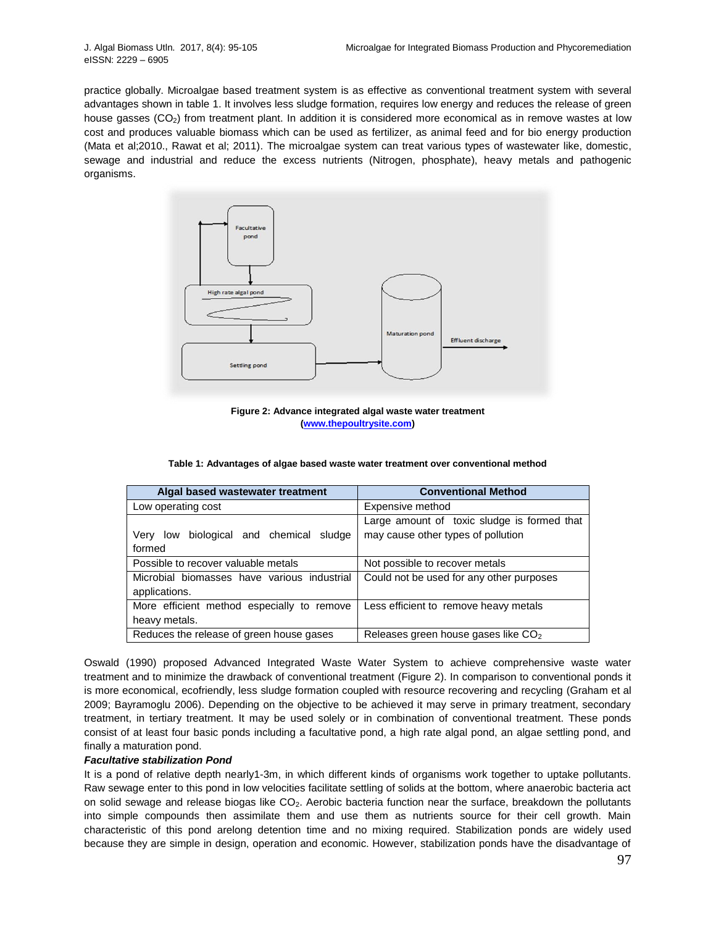practice globally. Microalgae based treatment system is as effective as conventional treatment system with several advantages shown in table 1. It involves less sludge formation, requires low energy and reduces the release of green house gasses (CO<sub>2</sub>) from treatment plant. In addition it is considered more economical as in remove wastes at low cost and produces valuable biomass which can be used as fertilizer, as animal feed and for bio energy production (Mata et al;2010., Rawat et al; 2011). The microalgae system can treat various types of wastewater like, domestic, sewage and industrial and reduce the excess nutrients (Nitrogen, phosphate), heavy metals and pathogenic organisms.



**Figure 2: Advance integrated algal waste water treatment [\(www.thepoultrysite.com\)](http://www.thepoultrysite.com/)**

| Algal based wastewater treatment            | <b>Conventional Method</b>                      |  |
|---------------------------------------------|-------------------------------------------------|--|
| Low operating cost                          | Expensive method                                |  |
|                                             | Large amount of toxic sludge is formed that     |  |
| Very low biological and chemical sludge     | may cause other types of pollution              |  |
| formed                                      |                                                 |  |
| Possible to recover valuable metals         | Not possible to recover metals                  |  |
| Microbial biomasses have various industrial | Could not be used for any other purposes        |  |
| applications.                               |                                                 |  |
| More efficient method especially to remove  | Less efficient to remove heavy metals           |  |
| heavy metals.                               |                                                 |  |
| Reduces the release of green house gases    | Releases green house gases like CO <sub>2</sub> |  |

Oswald (1990) proposed Advanced Integrated Waste Water System to achieve comprehensive waste water treatment and to minimize the drawback of conventional treatment (Figure 2). In comparison to conventional ponds it is more economical, ecofriendly, less sludge formation coupled with resource recovering and recycling (Graham et al 2009; Bayramoglu 2006). Depending on the objective to be achieved it may serve in primary treatment, secondary treatment, in tertiary treatment. It may be used solely or in combination of conventional treatment. These ponds consist of at least four basic ponds including a facultative pond, a high rate algal pond, an algae settling pond, and finally a maturation pond.

#### *Facultative stabilization Pond*

It is a pond of relative depth nearly1-3m, in which different kinds of organisms work together to uptake pollutants. Raw sewage enter to this pond in low velocities facilitate settling of solids at the bottom, where anaerobic bacteria act on solid sewage and release biogas like CO2. Aerobic bacteria function near the surface, breakdown the pollutants into simple compounds then assimilate them and use them as nutrients source for their cell growth. Main characteristic of this pond arelong detention time and no mixing required. Stabilization ponds are widely used because they are simple in design, operation and economic. However, stabilization ponds have the disadvantage of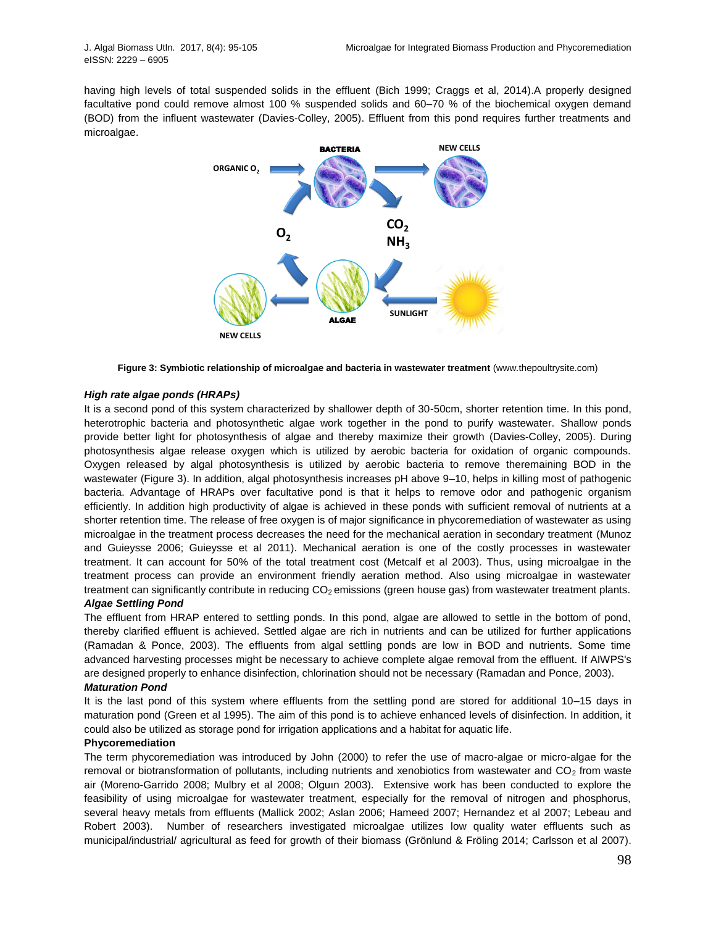having high levels of total suspended solids in the effluent (Bich 1999; Craggs et al, 2014).A properly designed facultative pond could remove almost 100 % suspended solids and 60–70 % of the biochemical oxygen demand (BOD) from the influent wastewater (Davies-Colley, 2005). Effluent from this pond requires further treatments and microalgae.



**Figure 3: Symbiotic relationship of microalgae and bacteria in wastewater treatment** (www.thepoultrysite.com)

#### *High rate algae ponds (HRAPs)*

It is a second pond of this system characterized by shallower depth of 30-50cm, shorter retention time. In this pond, heterotrophic bacteria and photosynthetic algae work together in the pond to purify wastewater. Shallow ponds provide better light for photosynthesis of algae and thereby maximize their growth (Davies-Colley, 2005). During photosynthesis algae release oxygen which is utilized by aerobic bacteria for oxidation of organic compounds. Oxygen released by algal photosynthesis is utilized by aerobic bacteria to remove theremaining BOD in the wastewater (Figure 3). In addition, algal photosynthesis increases pH above 9–10, helps in killing most of pathogenic bacteria. Advantage of HRAPs over facultative pond is that it helps to remove odor and pathogenic organism efficiently. In addition high productivity of algae is achieved in these ponds with sufficient removal of nutrients at a shorter retention time. The release of free oxygen is of major significance in phycoremediation of wastewater as using microalgae in the treatment process decreases the need for the mechanical aeration in secondary treatment (Munoz and Guieysse 2006; Guieysse et al 2011). Mechanical aeration is one of the costly processes in wastewater treatment. It can account for 50% of the total treatment cost (Metcalf et al 2003). Thus, using microalgae in the treatment process can provide an environment friendly aeration method. Also using microalgae in wastewater treatment can significantly contribute in reducing  $CO<sub>2</sub>$  emissions (green house gas) from wastewater treatment plants.

## *Algae Settling Pond*

The effluent from HRAP entered to settling ponds. In this pond, algae are allowed to settle in the bottom of pond, thereby clarified effluent is achieved. Settled algae are rich in nutrients and can be utilized for further applications (Ramadan & Ponce, 2003). The effluents from algal settling ponds are low in BOD and nutrients. Some time advanced harvesting processes might be necessary to achieve complete algae removal from the effluent. If AIWPS's are designed properly to enhance disinfection, chlorination should not be necessary (Ramadan and Ponce, 2003).

#### *Maturation Pond*

It is the last pond of this system where effluents from the settling pond are stored for additional 10–15 days in maturation pond (Green et al 1995). The aim of this pond is to achieve enhanced levels of disinfection. In addition, it could also be utilized as storage pond for irrigation applications and a habitat for aquatic life.

#### **Phycoremediation**

The term phycoremediation was introduced by John (2000) to refer the use of macro-algae or micro-algae for the removal or biotransformation of pollutants, including nutrients and xenobiotics from wastewater and  $CO<sub>2</sub>$  from waste air (Moreno-Garrido 2008; Mulbry et al 2008; Olguın 2003). Extensive work has been conducted to explore the feasibility of using microalgae for wastewater treatment, especially for the removal of nitrogen and phosphorus, several heavy metals from effluents (Mallick 2002; Aslan 2006; Hameed 2007; Hernandez et al 2007; Lebeau and Robert 2003). Number of researchers investigated microalgae utilizes low quality water effluents such as municipal/industrial/ agricultural as feed for growth of their biomass (Grönlund & Fröling 2014; Carlsson et al 2007).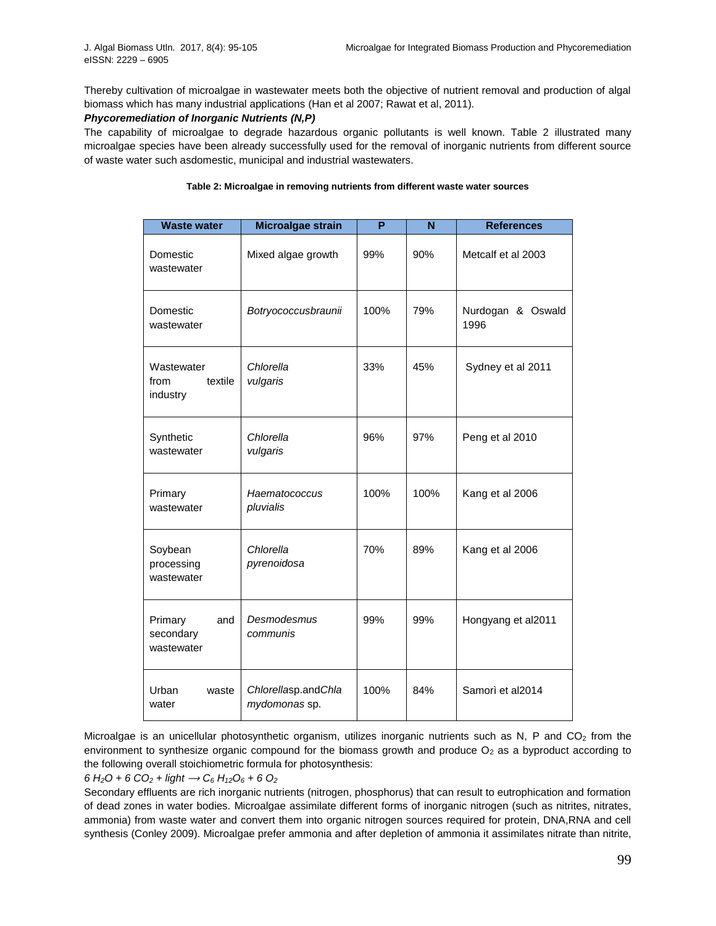Thereby cultivation of microalgae in wastewater meets both the objective of nutrient removal and production of algal biomass which has many industrial applications (Han et al 2007; Rawat et al, 2011).

## *Phycoremediation of Inorganic Nutrients (N,P)*

The capability of microalgae to degrade hazardous organic pollutants is well known. Table 2 illustrated many microalgae species have been already successfully used for the removal of inorganic nutrients from different source of waste water such asdomestic, municipal and industrial wastewaters.

| <b>Waste water</b>                        | Microalgae strain                    | P    | N    | <b>References</b>         |
|-------------------------------------------|--------------------------------------|------|------|---------------------------|
| Domestic<br>wastewater                    | Mixed algae growth                   | 99%  | 90%  | Metcalf et al 2003        |
| Domestic<br>wastewater                    | Botryococcusbraunii                  | 100% | 79%  | Nurdogan & Oswald<br>1996 |
| Wastewater<br>textile<br>from<br>industry | Chlorella<br>vulgaris                | 33%  | 45%  | Sydney et al 2011         |
| Synthetic<br>wastewater                   | Chlorella<br>vulgaris                | 96%  | 97%  | Peng et al 2010           |
| Primary<br>wastewater                     | Haematococcus<br>pluvialis           | 100% | 100% | Kang et al 2006           |
| Soybean<br>processing<br>wastewater       | Chlorella<br>pyrenoidosa             | 70%  | 89%  | Kang et al 2006           |
| Primary<br>and<br>secondary<br>wastewater | Desmodesmus<br>communis              | 99%  | 99%  | Hongyang et al2011        |
| Urban<br>waste<br>water                   | Chlorellasp.andChla<br>mydomonas sp. | 100% | 84%  | Samorì et al2014          |

#### **Table 2: Microalgae in removing nutrients from different waste water sources**

Microalgae is an unicellular photosynthetic organism, utilizes inorganic nutrients such as N, P and CO<sub>2</sub> from the environment to synthesize organic compound for the biomass growth and produce  $O<sub>2</sub>$  as a byproduct according to the following overall stoichiometric formula for photosynthesis:

 $6 H_2O + 6 CO_2 + light \rightarrow C_6 H_{12}O_6 + 6 O_2$ 

Secondary effluents are rich inorganic nutrients (nitrogen, phosphorus) that can result to eutrophication and formation of dead zones in water bodies. Microalgae assimilate different forms of inorganic nitrogen (such as nitrites, nitrates, ammonia) from waste water and convert them into organic nitrogen sources required for protein, DNA,RNA and cell synthesis (Conley 2009). Microalgae prefer ammonia and after depletion of ammonia it assimilates nitrate than nitrite,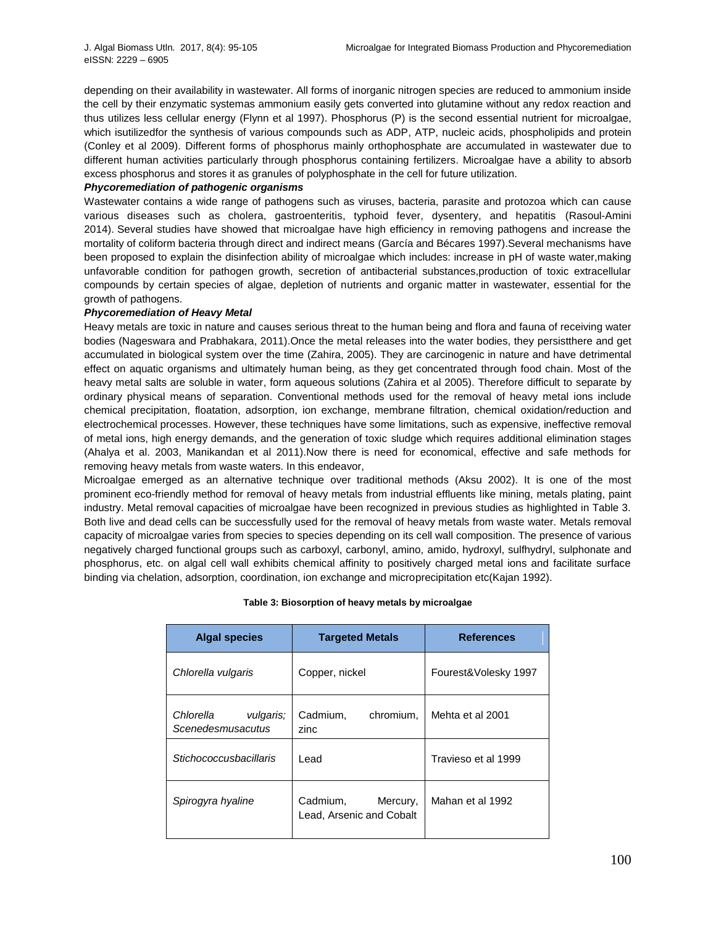depending on their availability in wastewater. All forms of inorganic nitrogen species are reduced to ammonium inside the cell by their enzymatic systemas ammonium easily gets converted into glutamine without any redox reaction and thus utilizes less cellular energy (Flynn et al 1997). Phosphorus (P) is the second essential nutrient for microalgae, which isutilizedfor the synthesis of various compounds such as ADP, ATP, nucleic acids, phospholipids and protein (Conley et al 2009). Different forms of phosphorus mainly orthophosphate are accumulated in wastewater due to different human activities particularly through phosphorus containing fertilizers. Microalgae have a ability to absorb excess phosphorus and stores it as granules of polyphosphate in the cell for future utilization.

### *Phycoremediation of pathogenic organisms*

Wastewater contains a wide range of pathogens such as viruses, bacteria, parasite and protozoa which can cause various diseases such as cholera, gastroenteritis, typhoid fever, dysentery, and hepatitis (Rasoul-Amini 2014). Several studies have showed that microalgae have high efficiency in removing pathogens and increase the mortality of coliform bacteria through direct and indirect means (García and Bécares 1997).Several mechanisms have been proposed to explain the disinfection ability of microalgae which includes: increase in pH of waste water,making unfavorable condition for pathogen growth, secretion of antibacterial substances,production of toxic extracellular compounds by certain species of algae, depletion of nutrients and organic matter in wastewater, essential for the growth of pathogens.

## *Phycoremediation of Heavy Metal*

Heavy metals are toxic in nature and causes serious threat to the human being and flora and fauna of receiving water bodies (Nageswara and Prabhakara, 2011).Once the metal releases into the water bodies, they persistthere and get accumulated in biological system over the time (Zahira, 2005). They are carcinogenic in nature and have detrimental effect on aquatic organisms and ultimately human being, as they get concentrated through food chain. Most of the heavy metal salts are soluble in water, form aqueous solutions (Zahira et al 2005). Therefore difficult to separate by ordinary physical means of separation. Conventional methods used for the removal of heavy metal ions include chemical precipitation, floatation, adsorption, ion exchange, membrane filtration, chemical oxidation/reduction and electrochemical processes. However, these techniques have some limitations, such as expensive, ineffective removal of metal ions, high energy demands, and the generation of toxic sludge which requires additional elimination stages (Ahalya et al. 2003, Manikandan et al 2011).Now there is need for economical, effective and safe methods for removing heavy metals from waste waters. In this endeavor,

Microalgae emerged as an alternative technique over traditional methods (Aksu 2002). It is one of the most prominent eco-friendly method for removal of heavy metals from industrial effluents like mining, metals plating, paint industry. Metal removal capacities of microalgae have been recognized in previous studies as highlighted in Table 3. Both live and dead cells can be successfully used for the removal of heavy metals from waste water. Metals removal capacity of microalgae varies from species to species depending on its cell wall composition. The presence of various negatively charged functional groups such as carboxyl, carbonyl, amino, amido, hydroxyl, sulfhydryl, sulphonate and phosphorus, etc. on algal cell wall exhibits chemical affinity to positively charged metal ions and facilitate surface binding via chelation, adsorption, coordination, ion exchange and microprecipitation etc(Kajan 1992).

| <b>Algal species</b>                        | <b>Targeted Metals</b>                           | <b>References</b>    |
|---------------------------------------------|--------------------------------------------------|----------------------|
| Chlorella vulgaris                          | Copper, nickel                                   | Fourest&Volesky 1997 |
| Chlorella<br>vulgaris;<br>Scenedesmusacutus | Cadmium,<br>chromium.<br>zinc                    | Mehta et al 2001     |
| Stichococcusbacillaris                      | Lead                                             | Travieso et al 1999  |
| Spirogyra hyaline                           | Cadmium,<br>Mercury,<br>Lead, Arsenic and Cobalt | Mahan et al 1992     |

#### **Table 3: Biosorption of heavy metals by microalgae**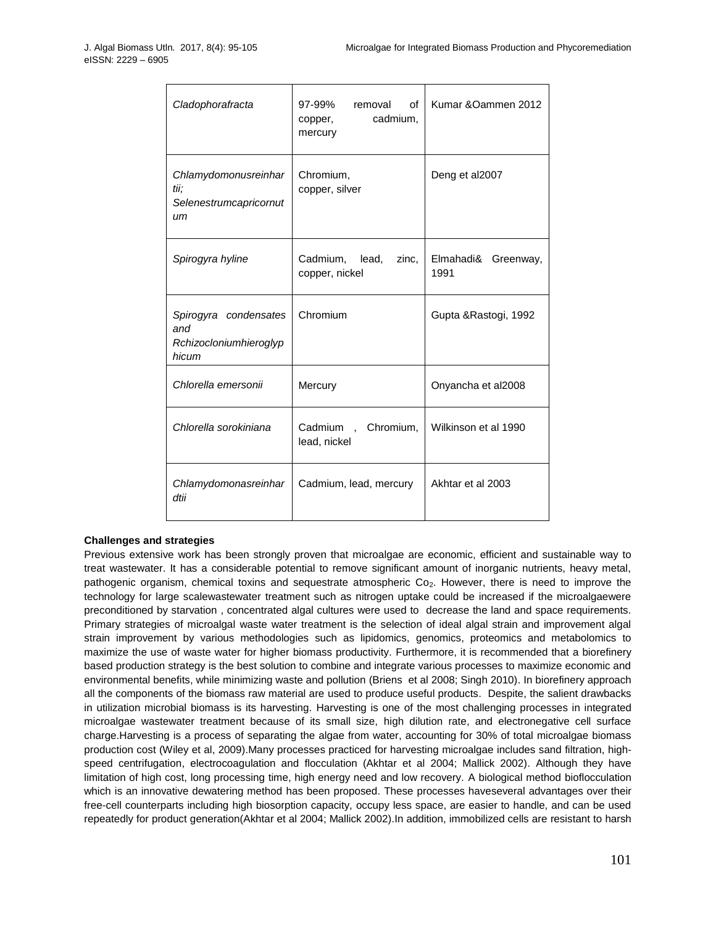| Cladophorafracta                                                | 97-99%<br>of<br>removal<br>cadmium,<br>copper,<br>mercury | Kumar & Oammen 2012            |
|-----------------------------------------------------------------|-----------------------------------------------------------|--------------------------------|
| Chlamydomonusreinhar<br>tii;<br>Selenestrumcapricornut<br>иm    | Chromium,<br>copper, silver                               | Deng et al2007                 |
| Spirogyra hyline                                                | Cadmium,<br>lead,<br>zinc,<br>copper, nickel              | Elmahadi&<br>Greenway,<br>1991 |
| Spirogyra condensates<br>and<br>Rchizocloniumhieroglyp<br>hicum | Chromium                                                  | Gupta & Rastogi, 1992          |
| Chlorella emersonii                                             | Mercury                                                   | Onyancha et al2008             |
| Chlorella sorokiniana                                           | Cadmium, Chromium,<br>lead, nickel                        | Wilkinson et al 1990           |
| Chlamydomonasreinhar<br>dtii                                    | Cadmium, lead, mercury                                    | Akhtar et al 2003              |

## **Challenges and strategies**

Previous extensive work has been strongly proven that microalgae are economic, efficient and sustainable way to treat wastewater. It has a considerable potential to remove significant amount of inorganic nutrients, heavy metal, pathogenic organism, chemical toxins and sequestrate atmospheric Co<sub>2</sub>. However, there is need to improve the technology for large scalewastewater treatment such as nitrogen uptake could be increased if the microalgaewere preconditioned by starvation , concentrated algal cultures were used to decrease the land and space requirements. Primary strategies of microalgal waste water treatment is the selection of ideal algal strain and improvement algal strain improvement by various methodologies such as lipidomics, genomics, proteomics and metabolomics to maximize the use of waste water for higher biomass productivity. Furthermore, it is recommended that a biorefinery based production strategy is the best solution to combine and integrate various processes to maximize economic and environmental benefits, while minimizing waste and pollution (Briens et al 2008; Singh 2010). In biorefinery approach all the components of the biomass raw material are used to produce useful products. Despite, the salient drawbacks in utilization microbial biomass is its harvesting. Harvesting is one of the most challenging processes in integrated microalgae wastewater treatment because of its small size, high dilution rate, and electronegative cell surface charge.Harvesting is a process of separating the algae from water, accounting for 30% of total microalgae biomass production cost (Wiley et al, 2009).Many processes practiced for harvesting microalgae includes sand filtration, highspeed centrifugation, electrocoagulation and flocculation (Akhtar et al 2004; Mallick 2002). Although they have limitation of high cost, long processing time, high energy need and low recovery. A biological method bioflocculation which is an innovative dewatering method has been proposed. These processes haveseveral advantages over their free-cell counterparts including high biosorption capacity, occupy less space, are easier to handle, and can be used repeatedly for product generation(Akhtar et al 2004; Mallick 2002).In addition, immobilized cells are resistant to harsh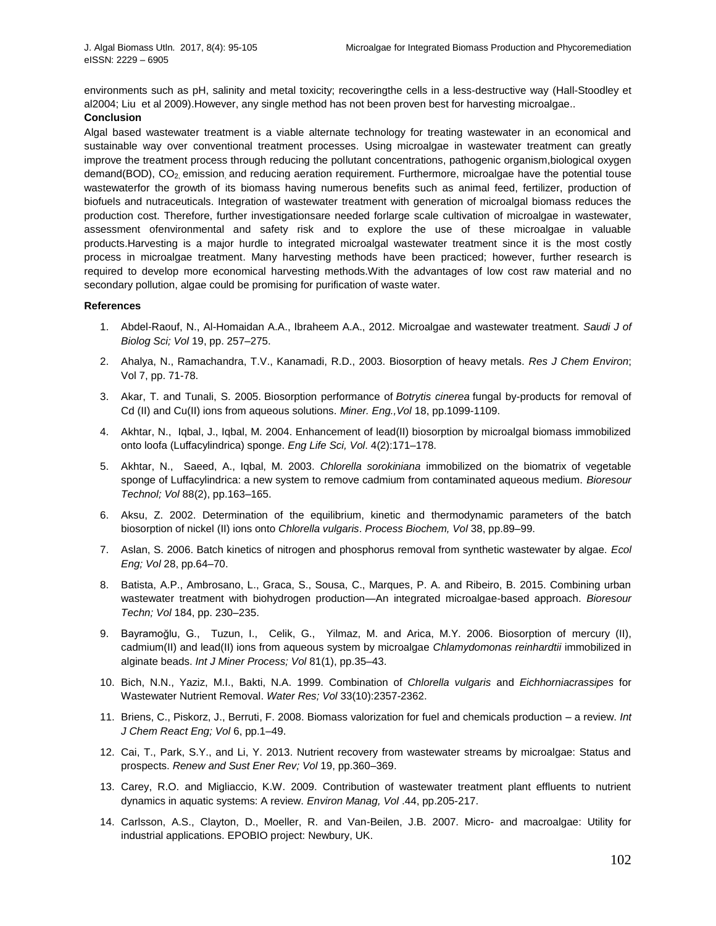environments such as pH, salinity and metal toxicity; recoveringthe cells in a less-destructive way (Hall-Stoodley et al2004; Liu et al 2009).However, any single method has not been proven best for harvesting microalgae..

## **Conclusion**

Algal based wastewater treatment is a viable alternate technology for treating wastewater in an economical and sustainable way over conventional treatment processes. Using microalgae in wastewater treatment can greatly improve the treatment process through reducing the pollutant concentrations, pathogenic organism,biological oxygen demand(BOD), CO<sub>2</sub>, emission, and reducing aeration requirement. Furthermore, microalgae have the potential touse wastewaterfor the growth of its biomass having numerous benefits such as animal feed, fertilizer, production of biofuels and nutraceuticals. Integration of wastewater treatment with generation of microalgal biomass reduces the production cost. Therefore, further investigationsare needed forlarge scale cultivation of microalgae in wastewater, assessment ofenvironmental and safety risk and to explore the use of these microalgae in valuable products.Harvesting is a major hurdle to integrated microalgal wastewater treatment since it is the most costly process in microalgae treatment. Many harvesting methods have been practiced; however, further research is required to develop more economical harvesting methods.With the advantages of low cost raw material and no secondary pollution, algae could be promising for purification of waste water.

#### **References**

- 1. Abdel-Raouf, N., Al-Homaidan A.A., Ibraheem A.A., 2012. Microalgae and wastewater treatment. *Saudi J of Biolog Sci; Vol* 19, pp. 257–275.
- 2. Ahalya, N., Ramachandra, T.V., Kanamadi, R.D., 2003. Biosorption of heavy metals. *Res J Chem Environ*; Vol 7, pp. 71-78.
- 3. Akar, T. and Tunali, S. 2005. Biosorption performance of *Botrytis cinerea* fungal by-products for removal of Cd (II) and Cu(II) ions from aqueous solutions. *Miner. Eng.,Vol* 18, pp.1099-1109.
- 4. Akhtar, N., Iqbal, J., Iqbal, M. 2004. Enhancement of lead(II) biosorption by microalgal biomass immobilized onto loofa (Luffacylindrica) sponge. *Eng Life Sci, Vol*. 4(2):171–178.
- 5. Akhtar, N., Saeed, A., Iqbal, M. 2003. *Chlorella sorokiniana* immobilized on the biomatrix of vegetable sponge of Luffacylindrica: a new system to remove cadmium from contaminated aqueous medium. *Bioresour Technol; Vol* 88(2), pp.163–165.
- 6. Aksu, Z. 2002. Determination of the equilibrium, kinetic and thermodynamic parameters of the batch biosorption of nickel (II) ions onto *Chlorella vulgaris*. *Process Biochem, Vol* 38, pp.89–99.
- 7. Aslan, S. 2006. Batch kinetics of nitrogen and phosphorus removal from synthetic wastewater by algae. *Ecol Eng; Vol* 28, pp.64–70.
- 8. Batista, A.P., Ambrosano, L., Graca, S., Sousa, C., Marques, P. A. and Ribeiro, B. 2015. Combining urban wastewater treatment with biohydrogen production—An integrated microalgae-based approach. *Bioresour Techn; Vol* 184, pp. 230–235.
- 9. Bayramoğlu, G., Tuzun, I., Celik, G., Yilmaz, M. and Arica, M.Y. 2006. Biosorption of mercury (II), cadmium(II) and lead(II) ions from aqueous system by microalgae *Chlamydomonas reinhardtii* immobilized in alginate beads. *Int J Miner Process; Vol* 81(1), pp.35–43.
- 10. Bich, N.N., Yaziz, M.I., Bakti, N.A. 1999. Combination of *Chlorella vulgaris* and *Eichhorniacrassipes* for Wastewater Nutrient Removal. *Water Res; Vol* 33(10):2357-2362.
- 11. Briens, C., Piskorz, J., Berruti, F. 2008. Biomass valorization for fuel and chemicals production a review. *Int J Chem React Eng; Vol* 6, pp.1–49.
- 12. Cai, T., Park, S.Y., and Li, Y. 2013. Nutrient recovery from wastewater streams by microalgae: Status and prospects. *Renew and Sust Ener Rev; Vol* 19, pp.360–369.
- 13. Carey, R.O. and Migliaccio, K.W. 2009. Contribution of wastewater treatment plant effluents to nutrient dynamics in aquatic systems: A review. *Environ Manag, Vol* .44, pp.205-217.
- 14. Carlsson, A.S., Clayton, D., Moeller, R. and Van-Beilen, J.B. 2007. Micro- and macroalgae: Utility for industrial applications. EPOBIO project: Newbury, UK.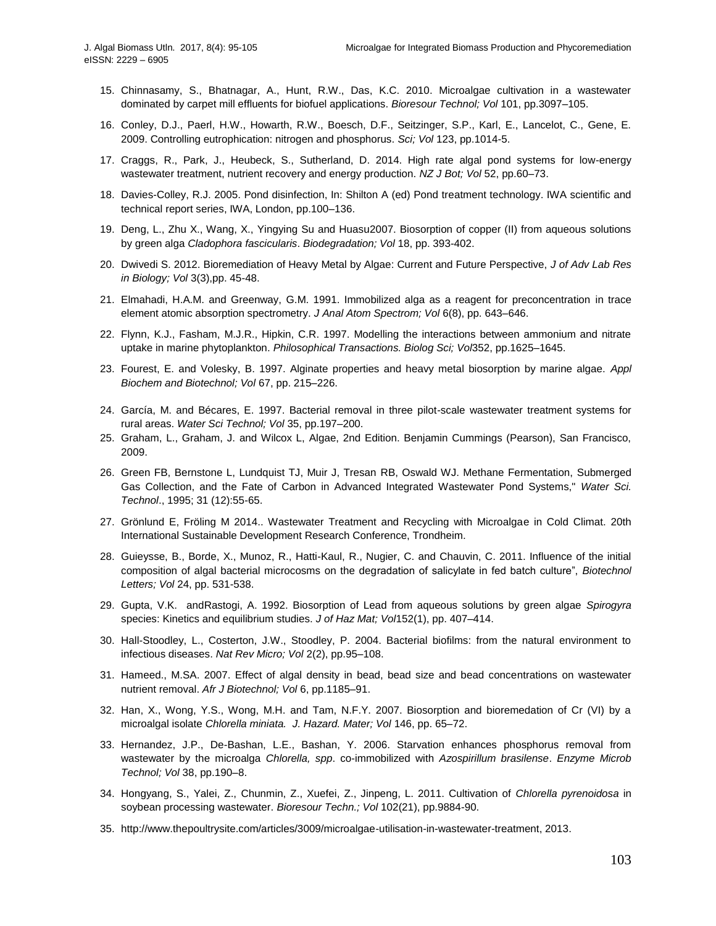- 15. Chinnasamy, S., Bhatnagar, A., Hunt, R.W., Das, K.C. 2010. Microalgae cultivation in a wastewater dominated by carpet mill effluents for biofuel applications. *Bioresour Technol; Vol* 101, pp.3097–105.
- 16. Conley, D.J., Paerl, H.W., Howarth, R.W., Boesch, D.F., Seitzinger, S.P., Karl, E., Lancelot, C., Gene, E. 2009. Controlling eutrophication: nitrogen and phosphorus. *Sci; Vol* 123, pp.1014-5.
- 17. Craggs, R., Park, J., Heubeck, S., Sutherland, D. 2014. High rate algal pond systems for low-energy wastewater treatment, nutrient recovery and energy production. *NZ J Bot; Vol* 52, pp.60–73.
- 18. Davies-Colley, R.J. 2005. Pond disinfection, In: Shilton A (ed) Pond treatment technology. IWA scientific and technical report series, IWA, London, pp.100–136.
- 19. Deng, L., Zhu X., Wang, X., Yingying Su and Huasu2007. Biosorption of copper (II) from aqueous solutions by green alga *Cladophora fascicularis*. *Biodegradation; Vol* 18, pp. 393-402.
- 20. Dwivedi S. 2012. Bioremediation of Heavy Metal by Algae: Current and Future Perspective, *J of Adv Lab Res in Biology; Vol* 3(3),pp. 45-48.
- 21. Elmahadi, H.A.M. and Greenway, G.M. 1991. Immobilized alga as a reagent for preconcentration in trace element atomic absorption spectrometry. *J Anal Atom Spectrom; Vol* 6(8), pp. 643–646.
- 22. Flynn, K.J., Fasham, M.J.R., Hipkin, C.R. 1997. Modelling the interactions between ammonium and nitrate uptake in marine phytoplankton. *Philosophical Transactions. Biolog Sci; Vol*352, pp.1625–1645.
- 23. Fourest, E. and Volesky, B. 1997. Alginate properties and heavy metal biosorption by marine algae. *Appl Biochem and Biotechnol; Vol* 67, pp. 215–226.
- 24. García, M. and Bécares, E. 1997. Bacterial removal in three pilot-scale wastewater treatment systems for rural areas. *Water Sci Technol; Vol* 35, pp.197–200.
- 25. Graham, L., Graham, J. and Wilcox L, Algae, 2nd Edition. Benjamin Cummings (Pearson), San Francisco, 2009.
- 26. Green FB, Bernstone L, Lundquist TJ, Muir J, Tresan RB, Oswald WJ. Methane Fermentation, Submerged Gas Collection, and the Fate of Carbon in Advanced Integrated Wastewater Pond Systems," *Water Sci. Technol*., 1995; 31 (12):55-65.
- 27. Grönlund E, Fröling M 2014.. Wastewater Treatment and Recycling with Microalgae in Cold Climat. 20th International Sustainable Development Research Conference, Trondheim.
- 28. Guieysse, B., Borde, X., Munoz, R., Hatti-Kaul, R., Nugier, C. and Chauvin, C. 2011. Influence of the initial composition of algal bacterial microcosms on the degradation of salicylate in fed batch culture", *Biotechnol Letters; Vol* 24, pp. 531-538.
- 29. Gupta, V.K. andRastogi, A. 1992. Biosorption of Lead from aqueous solutions by green algae *Spirogyra*  species: Kinetics and equilibrium studies. *J of Haz Mat; Vol*152(1), pp. 407–414.
- 30. Hall-Stoodley, L., Costerton, J.W., Stoodley, P. 2004. Bacterial biofilms: from the natural environment to infectious diseases. *Nat Rev Micro; Vol* 2(2), pp.95–108.
- 31. Hameed., M.SA. 2007. Effect of algal density in bead, bead size and bead concentrations on wastewater nutrient removal. *Afr J Biotechnol; Vol* 6, pp.1185–91.
- 32. Han, X., Wong, Y.S., Wong, M.H. and Tam, N.F.Y. 2007. Biosorption and bioremedation of Cr (VI) by a microalgal isolate *Chlorella miniata. J. Hazard. Mater; Vol* 146, pp. 65–72.
- 33. Hernandez, J.P., De-Bashan, L.E., Bashan, Y. 2006. Starvation enhances phosphorus removal from wastewater by the microalga *Chlorella, spp*. co-immobilized with *Azospirillum brasilense*. *Enzyme Microb Technol; Vol* 38, pp.190–8.
- 34. Hongyang, S., Yalei, Z., Chunmin, Z., Xuefei, Z., Jinpeng, L. 2011. Cultivation of *Chlorella pyrenoidosa* in soybean processing wastewater. *Bioresour Techn.; Vol* 102(21), pp.9884-90.
- 35. [http://www.thepoultrysite.com/articles/3009/microalgae-utilisation-in-wastewater-treatment,](http://www.thepoultrysite.com/articles/3009/microalgae-utilisation-in-wastewater-treatment) 2013.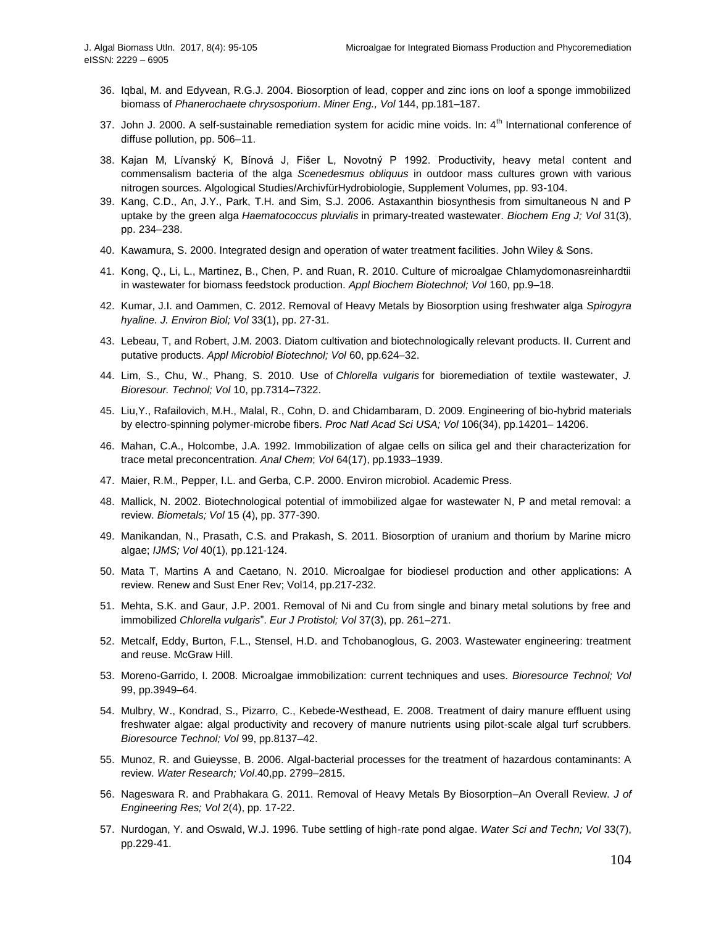- 36. Iqbal, M. and Edyvean, R.G.J. 2004. Biosorption of lead, copper and zinc ions on loof a sponge immobilized biomass of *Phanerochaete chrysosporium*. *Miner Eng., Vol* 144, pp.181–187.
- 37. John J. 2000. A self-sustainable remediation system for acidic mine voids. In: 4<sup>th</sup> International conference of diffuse pollution, pp. 506–11.
- 38. Kajan M, Lívanský K, Bínová J, Fišer L, Novotný P 1992. Productivity, heavy metal content and commensalism bacteria of the alga *Scenedesmus obliquus* in outdoor mass cultures grown with various nitrogen sources. Algological Studies/ArchivfürHydrobiologie, Supplement Volumes, pp. 93-104.
- 39. Kang, C.D., An, J.Y., Park, T.H. and Sim, S.J. 2006. Astaxanthin biosynthesis from simultaneous N and P uptake by the green alga *Haematococcus pluvialis* in primary-treated wastewater. *Biochem Eng J; Vol* 31(3), pp. 234–238.
- 40. Kawamura, S. 2000. Integrated design and operation of water treatment facilities. John Wiley & Sons.
- 41. Kong, Q., Li, L., Martinez, B., Chen, P. and Ruan, R. 2010. Culture of microalgae Chlamydomonasreinhardtii in wastewater for biomass feedstock production. *Appl Biochem Biotechnol; Vol* 160, pp.9–18.
- 42. Kumar, J.I. and Oammen, C. 2012. Removal of Heavy Metals by Biosorption using freshwater alga *Spirogyra hyaline. J. Environ Biol; Vol* 33(1), pp. 27-31.
- 43. Lebeau, T, and Robert, J.M. 2003. Diatom cultivation and biotechnologically relevant products. II. Current and putative products. *Appl Microbiol Biotechnol; Vol* 60, pp.624–32.
- 44. Lim, S., Chu, W., Phang, S. 2010. Use of *Chlorella vulgaris* for bioremediation of textile wastewater, *J. Bioresour. Technol; Vol* 10, pp.7314–7322.
- 45. Liu,Y., Rafailovich, M.H., Malal, R., Cohn, D. and Chidambaram, D. 2009. Engineering of bio-hybrid materials by electro-spinning polymer-microbe fibers. *Proc Natl Acad Sci USA; Vol* 106(34), pp.14201– 14206.
- 46. Mahan, C.A., Holcombe, J.A. 1992. Immobilization of algae cells on silica gel and their characterization for trace metal preconcentration. *Anal Chem*; *Vol* 64(17), pp.1933–1939.
- 47. Maier, R.M., Pepper, I.L. and Gerba, C.P. 2000. Environ microbiol. Academic Press.
- 48. Mallick, N. 2002. Biotechnological potential of immobilized algae for wastewater N, P and metal removal: a review. *Biometals; Vol* 15 (4), pp. 377-390.
- 49. Manikandan, N., Prasath, C.S. and Prakash, S. 2011. Biosorption of uranium and thorium by Marine micro algae; *IJMS; Vol* 40(1), pp.121-124.
- 50. Mata T, Martins A and Caetano, N. 2010. Microalgae for biodiesel production and other applications: A review. Renew and Sust Ener Rev; Vol14, pp.217-232.
- 51. Mehta, S.K. and Gaur, J.P. 2001. Removal of Ni and Cu from single and binary metal solutions by free and immobilized *Chlorella vulgaris*". *Eur J Protistol; Vol* 37(3), pp. 261–271.
- 52. Metcalf, Eddy, Burton, F.L., Stensel, H.D. and Tchobanoglous, G. 2003. Wastewater engineering: treatment and reuse. McGraw Hill.
- 53. Moreno-Garrido, I. 2008. Microalgae immobilization: current techniques and uses. *Bioresource Technol; Vol* 99, pp.3949–64.
- 54. Mulbry, W., Kondrad, S., Pizarro, C., Kebede-Westhead, E. 2008. Treatment of dairy manure effluent using freshwater algae: algal productivity and recovery of manure nutrients using pilot-scale algal turf scrubbers. *Bioresource Technol; Vol* 99, pp.8137–42.
- 55. Munoz, R. and Guieysse, B. 2006. Algal-bacterial processes for the treatment of hazardous contaminants: A review. *Water Research; Vol*.40,pp. 2799–2815.
- 56. Nageswara R. and Prabhakara G. 2011. Removal of Heavy Metals By Biosorption–An Overall Review. *J of Engineering Res; Vol* 2(4), pp. 17-22.
- 57. Nurdogan, Y. and Oswald, W.J. 1996. Tube settling of high-rate pond algae. *Water Sci and Techn; Vol* 33(7), pp.229-41.